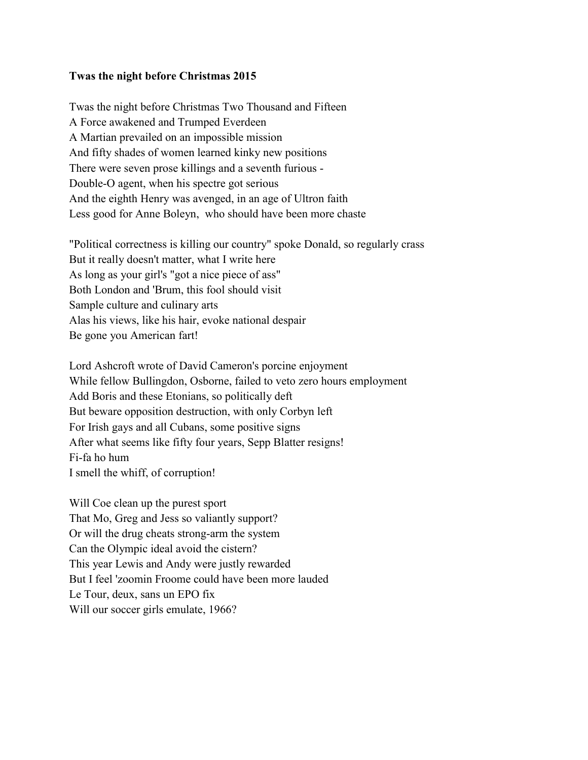## **Twas the night before Christmas 2015**

Twas the night before Christmas Two Thousand and Fifteen A Force awakened and Trumped Everdeen A Martian prevailed on an impossible mission And fifty shades of women learned kinky new positions There were seven prose killings and a seventh furious - Double-O agent, when his spectre got serious And the eighth Henry was avenged, in an age of Ultron faith Less good for Anne Boleyn, who should have been more chaste

"Political correctness is killing our country" spoke Donald, so regularly crass But it really doesn't matter, what I write here As long as your girl's "got a nice piece of ass" Both London and 'Brum, this fool should visit Sample culture and culinary arts Alas his views, like his hair, evoke national despair Be gone you American fart!

Lord Ashcroft wrote of David Cameron's porcine enjoyment While fellow Bullingdon, Osborne, failed to veto zero hours employment Add Boris and these Etonians, so politically deft But beware opposition destruction, with only Corbyn left For Irish gays and all Cubans, some positive signs After what seems like fifty four years, Sepp Blatter resigns! Fi-fa ho hum I smell the whiff, of corruption!

Will Coe clean up the purest sport That Mo, Greg and Jess so valiantly support? Or will the drug cheats strong-arm the system Can the Olympic ideal avoid the cistern? This year Lewis and Andy were justly rewarded But I feel 'zoomin Froome could have been more lauded Le Tour, deux, sans un EPO fix Will our soccer girls emulate, 1966?